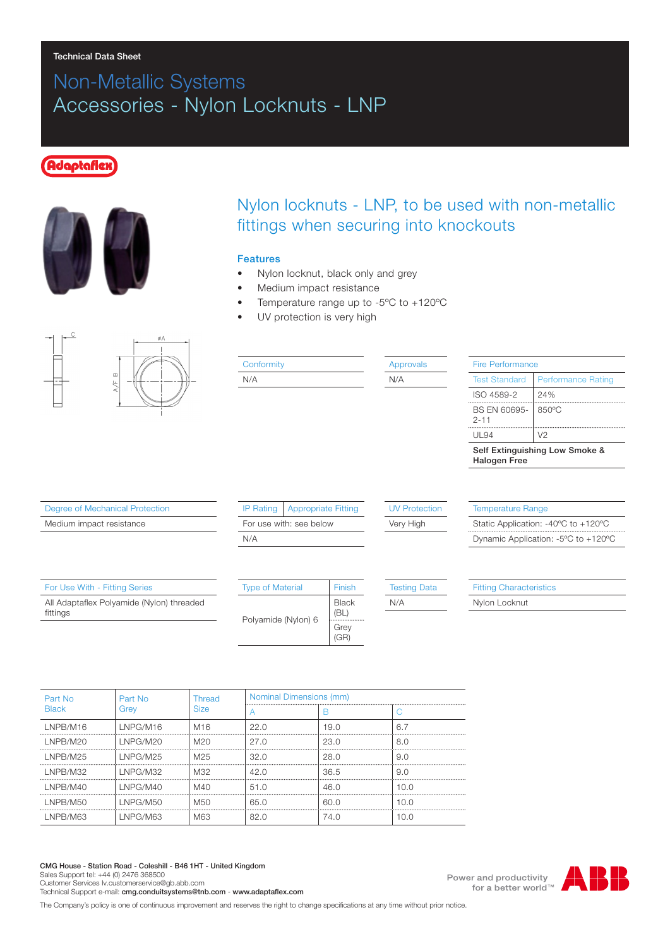#### Technical Data Sheet

# Non-Metallic Systems Accessories - Nylon Locknuts - LNP

## **Idaptafle**z



## Nylon locknuts - LNP, to be used with non-metallic fittings when securing into knockouts

#### Features

- Nylon locknut, black only and grey
- Medium impact resistance
- Temperature range up to -5ºC to +120ºC
- UV protection is very high



#### **Conformity** N/A

Approvals N/A

| Fire Performance                                      |                           |  |  |  |
|-------------------------------------------------------|---------------------------|--|--|--|
| <b>Test Standard</b>                                  | <b>Performance Rating</b> |  |  |  |
| ISO 4589-2                                            | 24%                       |  |  |  |
| BS EN 60695-<br>$2 - 11$                              | 850°C                     |  |  |  |
| UI 94                                                 | V <sub>2</sub>            |  |  |  |
| Self Extinguishing Low Smoke &<br><b>Halogen Free</b> |                           |  |  |  |

Degree of Mechanical Protection

Medium impact resistance

|                         | IP Rating   Appropriate Fitting |  |  |
|-------------------------|---------------------------------|--|--|
| For use with: see below |                                 |  |  |
| N/A                     |                                 |  |  |

(GR)

#### UV Protection

Very High

Temperature Range Static Application: -40ºC to +120ºC Dynamic Application: -5ºC to +120ºC

| For Use With - Fitting Series             | <b>Type of Material</b> | Finish       | <b>Testing Data</b> | <b>Fitting Characteristics</b> |
|-------------------------------------------|-------------------------|--------------|---------------------|--------------------------------|
| All Adaptaflex Polyamide (Nylon) threaded |                         | <b>Black</b> | N/A                 | Nylon Locknut                  |
| fittings                                  | Polyamide (Nylon) 6     | (BL)         |                     |                                |
|                                           |                         | Grev         |                     |                                |

| Part No<br>Grev | Thread<br><b>Size</b> | Nominal Dimensions (mm) |      |              |  |
|-----------------|-----------------------|-------------------------|------|--------------|--|
|                 |                       |                         | n    |              |  |
| LNPG/M16        | M16                   | 22.0                    | 19.0 | 6.7          |  |
| LNPG/M20        | M20                   | 27.O                    | 23.0 | 8.0          |  |
| <b>INPG/M25</b> | M <sub>25</sub>       | 32.O                    | 28.0 | 9.0          |  |
| <b>INPG/M32</b> | M32                   | 42.0                    | 36.5 | 9.0          |  |
| LNPG/M40        | MAO                   | 51.0                    | 46.0 | 10 N         |  |
| LNPG/M50        | M50                   | 65.0                    | 60.0 | 10. $\Omega$ |  |
| I NPG/M63       | <b>M63</b>            | 82 O                    | 74.O | n n          |  |
|                 |                       |                         |      |              |  |

CMG House - Station Road - Coleshill - B46 1HT - United Kingdom Sales Support tel: +44 (0) 2476 368500 Customer Services Iv.customerservice@gb.abb.com

Technical Support e-mail: cmg.conduitsystems@tnb.com - www.adaptaflex.com

The Company's policy is one of continuous improvement and reserves the right to change specifications at any time without prior notice.